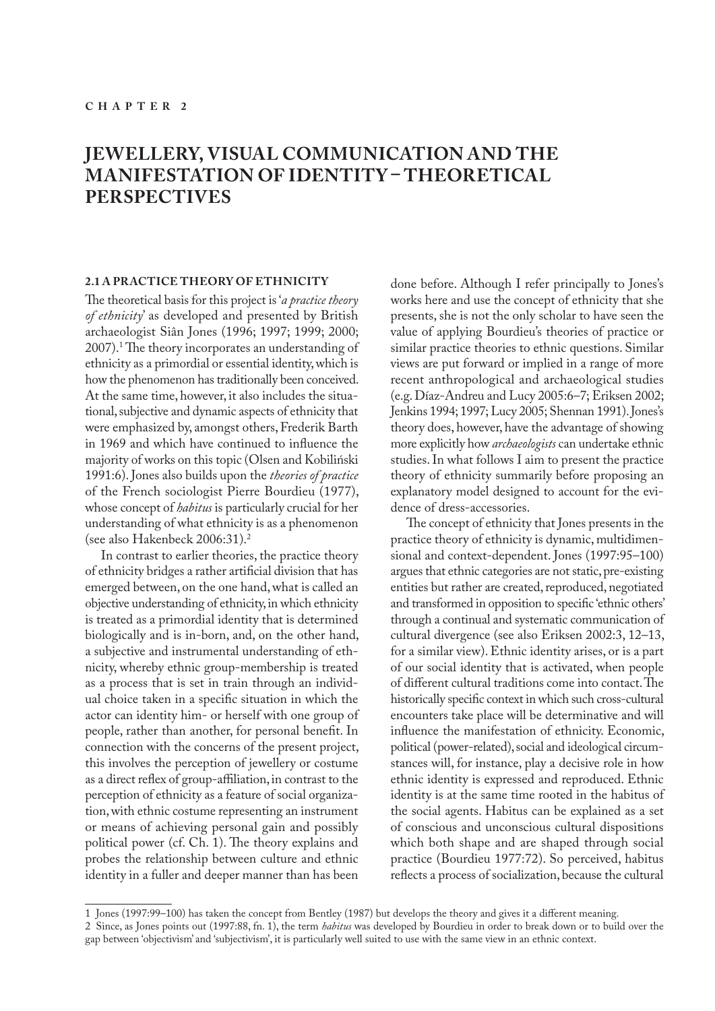# **JEWELLERY, VISUAL COMMUNICATION AND THE MANIFESTATION OF IDENTITY – THEORETICAL PERSPECTIVES**

### **2.1 A PRACTICE THEORY OF ETHNICITY**

The theoretical basis for this project is '*a practice theory of ethnicity*' as developed and presented by British archaeologist Siân Jones (1996; 1997; 1999; 2000; 2007).1 The theory incorporates an understanding of ethnicity as a primordial or essential identity, which is how the phenomenon has traditionally been conceived. At the same time, however, it also includes the situational, subjective and dynamic aspects of ethnicity that were emphasized by, amongst others, Frederik Barth in 1969 and which have continued to influence the majority of works on this topic (Olsen and Kobiliński 1991:6). Jones also builds upon the *theories of practice*  of the French sociologist Pierre Bourdieu (1977), whose concept of *habitus* is particularly crucial for her understanding of what ethnicity is as a phenomenon (see also Hakenbeck 2006:31).2

In contrast to earlier theories, the practice theory of ethnicity bridges a rather artificial division that has emerged between, on the one hand, what is called an objective understanding of ethnicity, in which ethnicity is treated as a primordial identity that is determined biologically and is in-born, and, on the other hand, a subjective and instrumental understanding of ethnicity, whereby ethnic group-membership is treated as a process that is set in train through an individual choice taken in a specific situation in which the actor can identity him- or herself with one group of people, rather than another, for personal benefit. In connection with the concerns of the present project, this involves the perception of jewellery or costume as a direct reflex of group-affiliation, in contrast to the perception of ethnicity as a feature of social organization, with ethnic costume representing an instrument or means of achieving personal gain and possibly political power (cf. Ch. 1). The theory explains and probes the relationship between culture and ethnic identity in a fuller and deeper manner than has been

done before. Although I refer principally to Jones's works here and use the concept of ethnicity that she presents, she is not the only scholar to have seen the value of applying Bourdieu's theories of practice or similar practice theories to ethnic questions. Similar views are put forward or implied in a range of more recent anthropological and archaeological studies (e.g. Díaz-Andreu and Lucy 2005:6–7; Eriksen 2002; Jenkins 1994; 1997; Lucy 2005; Shennan 1991). Jones's theory does, however, have the advantage of showing more explicitly how *archaeologists* can undertake ethnic studies. In what follows I aim to present the practice theory of ethnicity summarily before proposing an explanatory model designed to account for the evidence of dress-accessories.

The concept of ethnicity that Jones presents in the practice theory of ethnicity is dynamic, multidimensional and context-dependent. Jones (1997:95–100) argues that ethnic categories are not static, pre-existing entities but rather are created, reproduced, negotiated and transformed in opposition to specific 'ethnic others' through a continual and systematic communication of cultural divergence (see also Eriksen 2002:3, 12–13, for a similar view). Ethnic identity arises, or is a part of our social identity that is activated, when people of different cultural traditions come into contact. The historically specific context in which such cross-cultural encounters take place will be determinative and will influence the manifestation of ethnicity. Economic, political (power-related), social and ideological circumstances will, for instance, play a decisive role in how ethnic identity is expressed and reproduced. Ethnic identity is at the same time rooted in the habitus of the social agents. Habitus can be explained as a set of conscious and unconscious cultural dispositions which both shape and are shaped through social practice (Bourdieu 1977:72). So perceived, habitus reflects a process of socialization, because the cultural

<sup>1</sup> Jones (1997:99–100) has taken the concept from Bentley (1987) but develops the theory and gives it a different meaning.

<sup>2</sup> Since, as Jones points out (1997:88, fn. 1), the term *habitus* was developed by Bourdieu in order to break down or to build over the gap between 'objectivism' and 'subjectivism', it is particularly well suited to use with the same view in an ethnic context.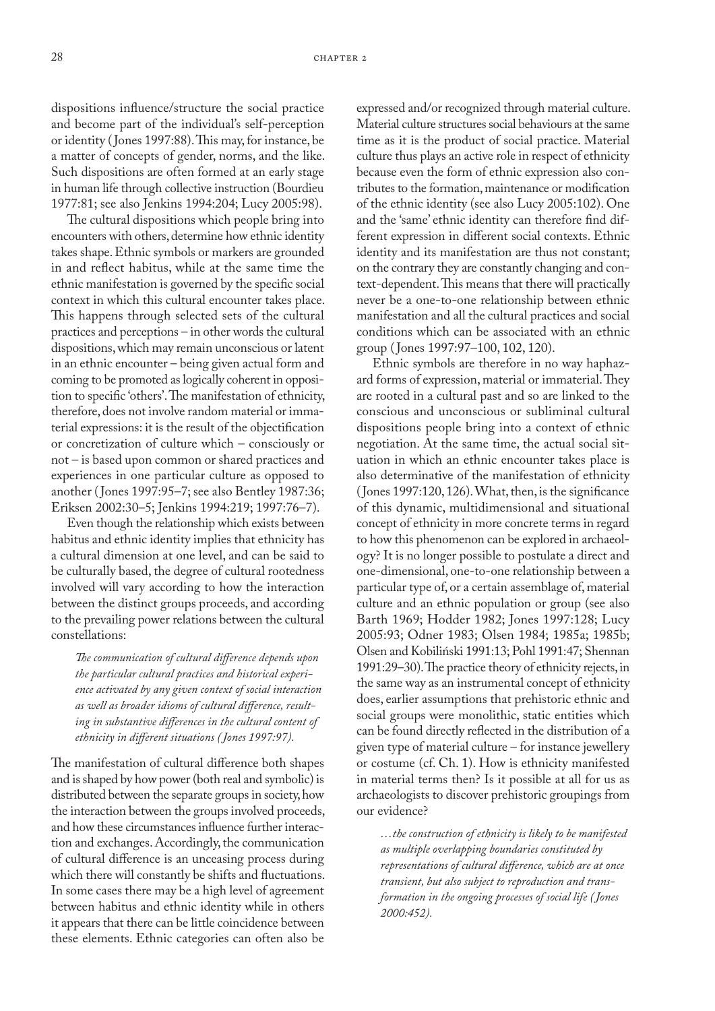dispositions influence/structure the social practice and become part of the individual's self-perception or identity ( Jones 1997:88). This may, for instance, be a matter of concepts of gender, norms, and the like. Such dispositions are often formed at an early stage in human life through collective instruction (Bourdieu 1977:81; see also Jenkins 1994:204; Lucy 2005:98).

The cultural dispositions which people bring into encounters with others, determine how ethnic identity takes shape. Ethnic symbols or markers are grounded in and reflect habitus, while at the same time the ethnic manifestation is governed by the specific social context in which this cultural encounter takes place. This happens through selected sets of the cultural practices and perceptions – in other words the cultural dispositions, which may remain unconscious or latent in an ethnic encounter – being given actual form and coming to be promoted as logically coherent in opposition to specific 'others'. The manifestation of ethnicity, therefore, does not involve random material or immaterial expressions: it is the result of the objectification or concretization of culture which – consciously or not – is based upon common or shared practices and experiences in one particular culture as opposed to another ( Jones 1997:95–7; see also Bentley 1987:36; Eriksen 2002:30–5; Jenkins 1994:219; 1997:76–7).

Even though the relationship which exists between habitus and ethnic identity implies that ethnicity has a cultural dimension at one level, and can be said to be culturally based, the degree of cultural rootedness involved will vary according to how the interaction between the distinct groups proceeds, and according to the prevailing power relations between the cultural constellations:

*The communication of cultural difference depends upon the particular cultural practices and historical experience activated by any given context of social interaction as well as broader idioms of cultural difference, resulting in substantive differences in the cultural content of ethnicity in different situations ( Jones 1997:97).*

The manifestation of cultural difference both shapes and is shaped by how power (both real and symbolic) is distributed between the separate groups in society, how the interaction between the groups involved proceeds, and how these circumstances influence further interaction and exchanges. Accordingly, the communication of cultural difference is an unceasing process during which there will constantly be shifts and fluctuations. In some cases there may be a high level of agreement between habitus and ethnic identity while in others it appears that there can be little coincidence between these elements. Ethnic categories can often also be

expressed and/or recognized through material culture. Material culture structures social behaviours at the same time as it is the product of social practice. Material culture thus plays an active role in respect of ethnicity because even the form of ethnic expression also contributes to the formation, maintenance or modification of the ethnic identity (see also Lucy 2005:102). One and the 'same' ethnic identity can therefore find different expression in different social contexts. Ethnic identity and its manifestation are thus not constant; on the contrary they are constantly changing and context-dependent. This means that there will practically never be a one-to-one relationship between ethnic manifestation and all the cultural practices and social conditions which can be associated with an ethnic group ( Jones 1997:97–100, 102, 120).

Ethnic symbols are therefore in no way haphazard forms of expression, material or immaterial. They are rooted in a cultural past and so are linked to the conscious and unconscious or subliminal cultural dispositions people bring into a context of ethnic negotiation. At the same time, the actual social situation in which an ethnic encounter takes place is also determinative of the manifestation of ethnicity (Jones 1997:120, 126). What, then, is the significance of this dynamic, multidimensional and situational concept of ethnicity in more concrete terms in regard to how this phenomenon can be explored in archaeology? It is no longer possible to postulate a direct and one-dimensional, one-to-one relationship between a particular type of, or a certain assemblage of, material culture and an ethnic population or group (see also Barth 1969; Hodder 1982; Jones 1997:128; Lucy 2005:93; Odner 1983; Olsen 1984; 1985a; 1985b; Olsen and Kobiliński 1991:13; Pohl 1991:47; Shennan 1991:29–30). The practice theory of ethnicity rejects, in the same way as an instrumental concept of ethnicity does, earlier assumptions that prehistoric ethnic and social groups were monolithic, static entities which can be found directly reflected in the distribution of a given type of material culture – for instance jewellery or costume (cf. Ch. 1). How is ethnicity manifested in material terms then? Is it possible at all for us as archaeologists to discover prehistoric groupings from our evidence?

*…the construction of ethnicity is likely to be manifested as multiple overlapping boundaries constituted by representations of cultural difference, which are at once transient, but also subject to reproduction and transformation in the ongoing processes of social life ( Jones 2000:452).*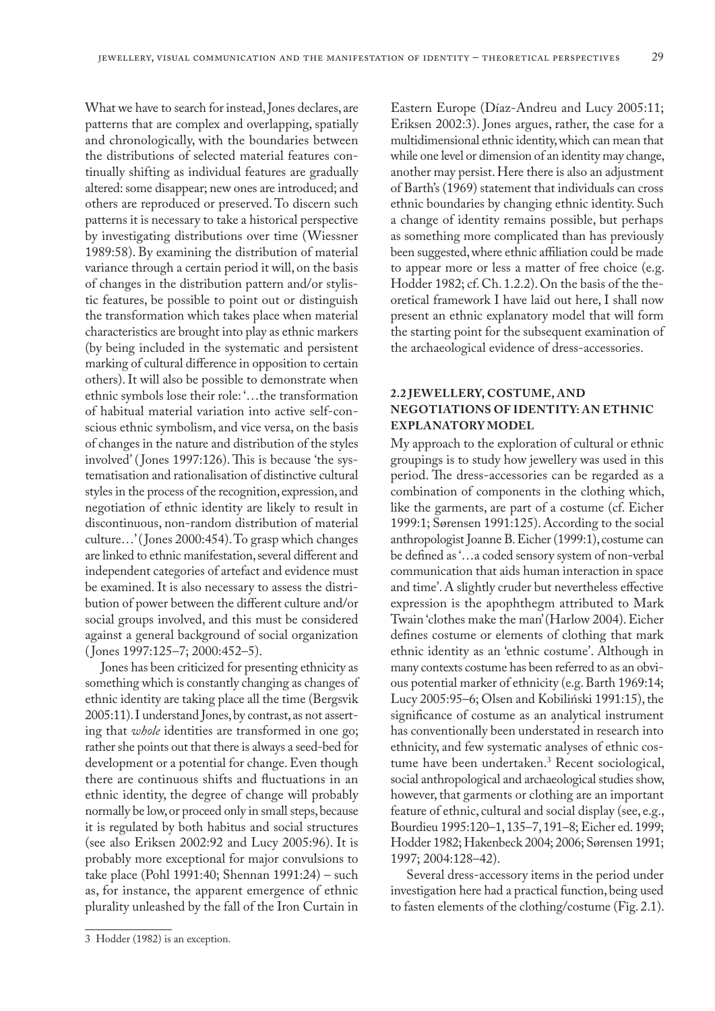What we have to search for instead, Jones declares, are patterns that are complex and overlapping, spatially and chronologically, with the boundaries between the distributions of selected material features continually shifting as individual features are gradually altered: some disappear; new ones are introduced; and others are reproduced or preserved. To discern such patterns it is necessary to take a historical perspective by investigating distributions over time (Wiessner 1989:58). By examining the distribution of material variance through a certain period it will, on the basis of changes in the distribution pattern and/or stylistic features, be possible to point out or distinguish the transformation which takes place when material characteristics are brought into play as ethnic markers (by being included in the systematic and persistent marking of cultural difference in opposition to certain others). It will also be possible to demonstrate when ethnic symbols lose their role: '…the transformation of habitual material variation into active self-conscious ethnic symbolism, and vice versa, on the basis of changes in the nature and distribution of the styles involved' ( Jones 1997:126). This is because 'the systematisation and rationalisation of distinctive cultural styles in the process of the recognition, expression, and negotiation of ethnic identity are likely to result in discontinuous, non-random distribution of material culture…' ( Jones 2000:454). To grasp which changes are linked to ethnic manifestation, several different and independent categories of artefact and evidence must be examined. It is also necessary to assess the distribution of power between the different culture and/or social groups involved, and this must be considered against a general background of social organization ( Jones 1997:125–7; 2000:452–5).

Jones has been criticized for presenting ethnicity as something which is constantly changing as changes of ethnic identity are taking place all the time (Bergsvik 2005:11). I understand Jones, by contrast, as not asserting that *whole* identities are transformed in one go; rather she points out that there is always a seed-bed for development or a potential for change. Even though there are continuous shifts and fluctuations in an ethnic identity, the degree of change will probably normally be low, or proceed only in small steps, because it is regulated by both habitus and social structures (see also Eriksen 2002:92 and Lucy 2005:96). It is probably more exceptional for major convulsions to take place (Pohl 1991:40; Shennan 1991:24) – such as, for instance, the apparent emergence of ethnic plurality unleashed by the fall of the Iron Curtain in

## **2.2 JEWELLERY, COSTUME, AND NEGOTIATIONS OF IDENTITY: AN ETHNIC EXPLANATORY MODEL**

My approach to the exploration of cultural or ethnic groupings is to study how jewellery was used in this period. The dress-accessories can be regarded as a combination of components in the clothing which, like the garments, are part of a costume (cf. Eicher 1999:1; Sørensen 1991:125). According to the social anthropologist Joanne B. Eicher (1999:1), costume can be defined as '…a coded sensory system of non-verbal communication that aids human interaction in space and time'. A slightly cruder but nevertheless effective expression is the apophthegm attributed to Mark Twain 'clothes make the man' (Harlow 2004). Eicher defines costume or elements of clothing that mark ethnic identity as an 'ethnic costume'. Although in many contexts costume has been referred to as an obvious potential marker of ethnicity (e.g. Barth 1969:14; Lucy 2005:95–6; Olsen and Kobiliński 1991:15), the significance of costume as an analytical instrument has conventionally been understated in research into ethnicity, and few systematic analyses of ethnic costume have been undertaken.3 Recent sociological, social anthropological and archaeological studies show, however, that garments or clothing are an important feature of ethnic, cultural and social display (see, e.g., Bourdieu 1995:120–1, 135–7, 191–8; Eicher ed. 1999; Hodder 1982; Hakenbeck 2004; 2006; Sørensen 1991; 1997; 2004:128–42).

Several dress-accessory items in the period under investigation here had a practical function, being used to fasten elements of the clothing/costume (Fig. 2.1).

Eastern Europe (Díaz-Andreu and Lucy 2005:11; Eriksen 2002:3). Jones argues, rather, the case for a multidimensional ethnic identity, which can mean that while one level or dimension of an identity may change, another may persist. Here there is also an adjustment of Barth's (1969) statement that individuals can cross ethnic boundaries by changing ethnic identity. Such a change of identity remains possible, but perhaps as something more complicated than has previously been suggested, where ethnic affiliation could be made to appear more or less a matter of free choice (e.g. Hodder 1982; cf. Ch. 1.2.2). On the basis of the theoretical framework I have laid out here, I shall now present an ethnic explanatory model that will form the starting point for the subsequent examination of the archaeological evidence of dress-accessories.

<sup>3</sup> Hodder (1982) is an exception.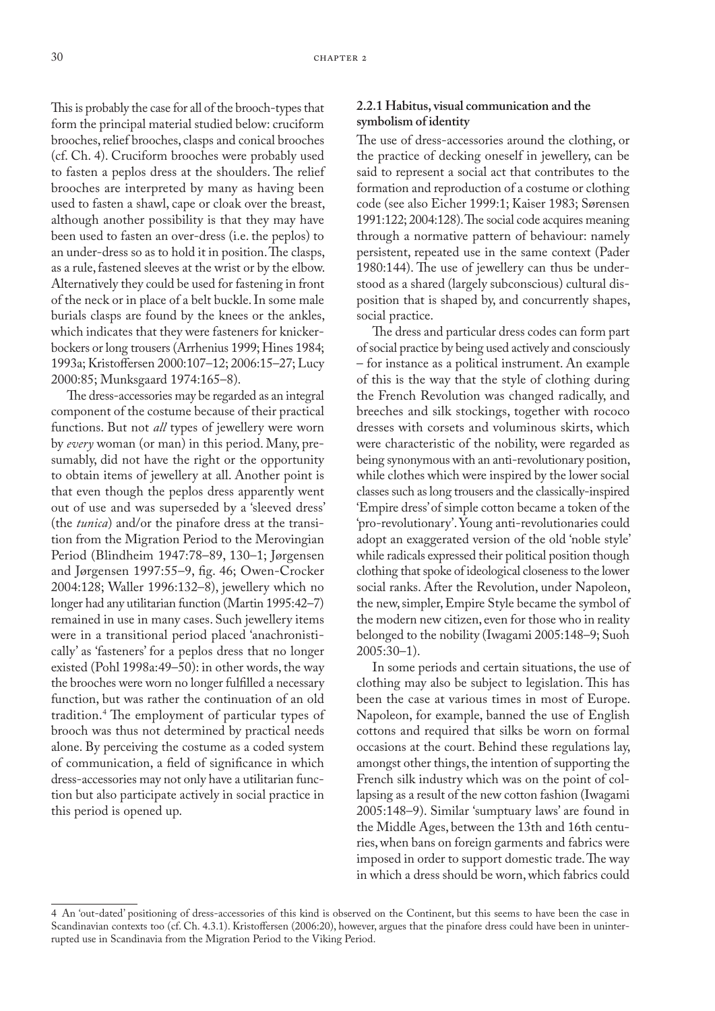This is probably the case for all of the brooch-types that form the principal material studied below: cruciform brooches, relief brooches, clasps and conical brooches (cf. Ch. 4). Cruciform brooches were probably used to fasten a peplos dress at the shoulders. The relief brooches are interpreted by many as having been used to fasten a shawl, cape or cloak over the breast, although another possibility is that they may have been used to fasten an over-dress (i.e. the peplos) to an under-dress so as to hold it in position. The clasps, as a rule, fastened sleeves at the wrist or by the elbow. Alternatively they could be used for fastening in front of the neck or in place of a belt buckle. In some male burials clasps are found by the knees or the ankles, which indicates that they were fasteners for knickerbockers or long trousers (Arrhenius 1999; Hines 1984; 1993a; Kristoffersen 2000:107–12; 2006:15–27; Lucy 2000:85; Munksgaard 1974:165–8).

The dress-accessories may be regarded as an integral component of the costume because of their practical functions. But not *all* types of jewellery were worn by *every* woman (or man) in this period. Many, presumably, did not have the right or the opportunity to obtain items of jewellery at all. Another point is that even though the peplos dress apparently went out of use and was superseded by a 'sleeved dress' (the *tunica*) and/or the pinafore dress at the transition from the Migration Period to the Merovingian Period (Blindheim 1947:78–89, 130–1; Jørgensen and Jørgensen 1997:55–9, fig. 46; Owen-Crocker 2004:128; Waller 1996:132–8), jewellery which no longer had any utilitarian function (Martin 1995:42–7) remained in use in many cases. Such jewellery items were in a transitional period placed 'anachronistically' as 'fasteners' for a peplos dress that no longer existed (Pohl 1998a:49–50): in other words, the way the brooches were worn no longer fulfilled a necessary function, but was rather the continuation of an old tradition.4 The employment of particular types of brooch was thus not determined by practical needs alone. By perceiving the costume as a coded system of communication, a field of significance in which dress-accessories may not only have a utilitarian function but also participate actively in social practice in this period is opened up.

# **2.2.1 Habitus, visual communication and the symbolism of identity**

The use of dress-accessories around the clothing, or the practice of decking oneself in jewellery, can be said to represent a social act that contributes to the formation and reproduction of a costume or clothing code (see also Eicher 1999:1; Kaiser 1983; Sørensen 1991:122; 2004:128). The social code acquires meaning through a normative pattern of behaviour: namely persistent, repeated use in the same context (Pader 1980:144). The use of jewellery can thus be understood as a shared (largely subconscious) cultural disposition that is shaped by, and concurrently shapes, social practice.

The dress and particular dress codes can form part of social practice by being used actively and consciously – for instance as a political instrument. An example of this is the way that the style of clothing during the French Revolution was changed radically, and breeches and silk stockings, together with rococo dresses with corsets and voluminous skirts, which were characteristic of the nobility, were regarded as being synonymous with an anti-revolutionary position, while clothes which were inspired by the lower social classes such as long trousers and the classically-inspired 'Empire dress' of simple cotton became a token of the 'pro-revolutionary'. Young anti-revolutionaries could adopt an exaggerated version of the old 'noble style' while radicals expressed their political position though clothing that spoke of ideological closeness to the lower social ranks. After the Revolution, under Napoleon, the new, simpler, Empire Style became the symbol of the modern new citizen, even for those who in reality belonged to the nobility (Iwagami 2005:148–9; Suoh 2005:30–1).

In some periods and certain situations, the use of clothing may also be subject to legislation. This has been the case at various times in most of Europe. Napoleon, for example, banned the use of English cottons and required that silks be worn on formal occasions at the court. Behind these regulations lay, amongst other things, the intention of supporting the French silk industry which was on the point of collapsing as a result of the new cotton fashion (Iwagami 2005:148–9). Similar 'sumptuary laws' are found in the Middle Ages, between the 13th and 16th centuries, when bans on foreign garments and fabrics were imposed in order to support domestic trade. The way in which a dress should be worn, which fabrics could

<sup>4</sup> An 'out-dated' positioning of dress-accessories of this kind is observed on the Continent, but this seems to have been the case in Scandinavian contexts too (cf. Ch. 4.3.1). Kristoffersen (2006:20), however, argues that the pinafore dress could have been in uninterrupted use in Scandinavia from the Migration Period to the Viking Period.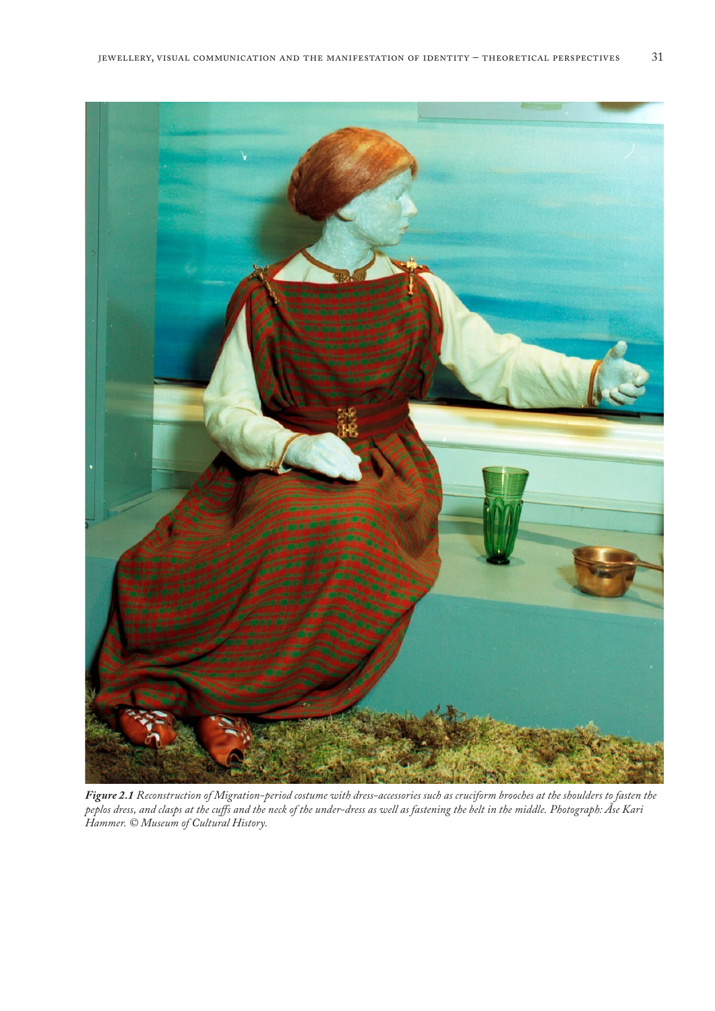

*Figure 2.1 Reconstruction of Migration-period costume with dress-accessories such as cruciform brooches at the shoulders to fasten the peplos dress, and clasps at the cuffs and the neck of the under-dress as well as fastening the belt in the middle. Photograph: Åse Kari Hammer. © Museum of Cultural History.*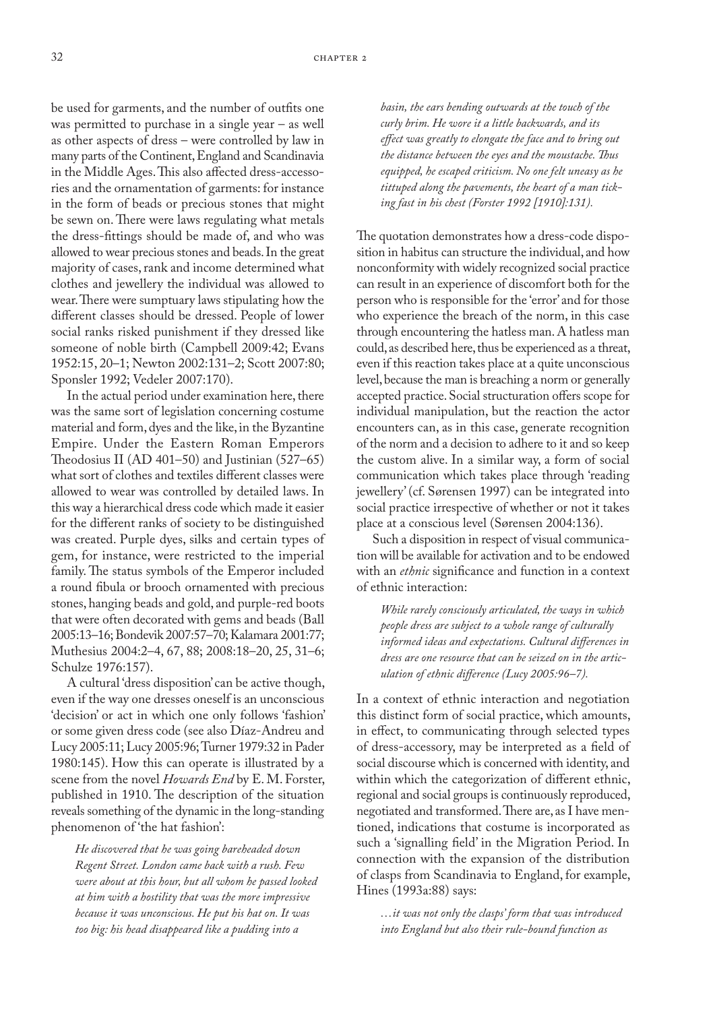be used for garments, and the number of outfits one was permitted to purchase in a single year – as well as other aspects of dress – were controlled by law in many parts of the Continent, England and Scandinavia in the Middle Ages. This also affected dress-accessories and the ornamentation of garments: for instance in the form of beads or precious stones that might be sewn on. There were laws regulating what metals the dress-fittings should be made of, and who was allowed to wear precious stones and beads. In the great majority of cases, rank and income determined what clothes and jewellery the individual was allowed to wear. There were sumptuary laws stipulating how the different classes should be dressed. People of lower social ranks risked punishment if they dressed like someone of noble birth (Campbell 2009:42; Evans 1952:15, 20–1; Newton 2002:131–2; Scott 2007:80; Sponsler 1992; Vedeler 2007:170).

In the actual period under examination here, there was the same sort of legislation concerning costume material and form, dyes and the like, in the Byzantine Empire. Under the Eastern Roman Emperors Theodosius II (AD 401–50) and Justinian (527–65) what sort of clothes and textiles different classes were allowed to wear was controlled by detailed laws. In this way a hierarchical dress code which made it easier for the different ranks of society to be distinguished was created. Purple dyes, silks and certain types of gem, for instance, were restricted to the imperial family. The status symbols of the Emperor included a round fibula or brooch ornamented with precious stones, hanging beads and gold, and purple-red boots that were often decorated with gems and beads (Ball 2005:13–16; Bondevik 2007:57–70; Kalamara 2001:77; Muthesius 2004:2–4, 67, 88; 2008:18–20, 25, 31–6; Schulze 1976:157).

A cultural 'dress disposition' can be active though, even if the way one dresses oneself is an unconscious 'decision' or act in which one only follows 'fashion' or some given dress code (see also Díaz-Andreu and Lucy 2005:11; Lucy 2005:96; Turner 1979:32 in Pader 1980:145). How this can operate is illustrated by a scene from the novel *Howards End* by E. M. Forster, published in 1910. The description of the situation reveals something of the dynamic in the long-standing phenomenon of 'the hat fashion':

*He discovered that he was going bareheaded down Regent Street. London came back with a rush. Few were about at this hour, but all whom he passed looked at him with a hostility that was the more impressive because it was unconscious. He put his hat on. It was too big: his head disappeared like a pudding into a* 

*basin, the ears bending outwards at the touch of the curly brim. He wore it a little backwards, and its effect was greatly to elongate the face and to bring out the distance between the eyes and the moustache. Thus equipped, he escaped criticism. No one felt uneasy as he tittuped along the pavements, the heart of a man ticking fast in his chest (Forster 1992 [1910]:131).*

The quotation demonstrates how a dress-code disposition in habitus can structure the individual, and how nonconformity with widely recognized social practice can result in an experience of discomfort both for the person who is responsible for the 'error' and for those who experience the breach of the norm, in this case through encountering the hatless man. A hatless man could, as described here, thus be experienced as a threat, even if this reaction takes place at a quite unconscious level, because the man is breaching a norm or generally accepted practice. Social structuration offers scope for individual manipulation, but the reaction the actor encounters can, as in this case, generate recognition of the norm and a decision to adhere to it and so keep the custom alive. In a similar way, a form of social communication which takes place through 'reading jewellery' (cf. Sørensen 1997) can be integrated into social practice irrespective of whether or not it takes place at a conscious level (Sørensen 2004:136).

Such a disposition in respect of visual communication will be available for activation and to be endowed with an *ethnic* significance and function in a context of ethnic interaction:

*While rarely consciously articulated, the ways in which people dress are subject to a whole range of culturally informed ideas and expectations. Cultural differences in dress are one resource that can be seized on in the articulation of ethnic difference (Lucy 2005:96–7).*

In a context of ethnic interaction and negotiation this distinct form of social practice, which amounts, in effect, to communicating through selected types of dress-accessory, may be interpreted as a field of social discourse which is concerned with identity, and within which the categorization of different ethnic, regional and social groups is continuously reproduced, negotiated and transformed. There are, as I have mentioned, indications that costume is incorporated as such a 'signalling field' in the Migration Period. In connection with the expansion of the distribution of clasps from Scandinavia to England, for example, Hines (1993a:88) says:

*…it was not only the clasps' form that was introduced into England but also their rule-bound function as*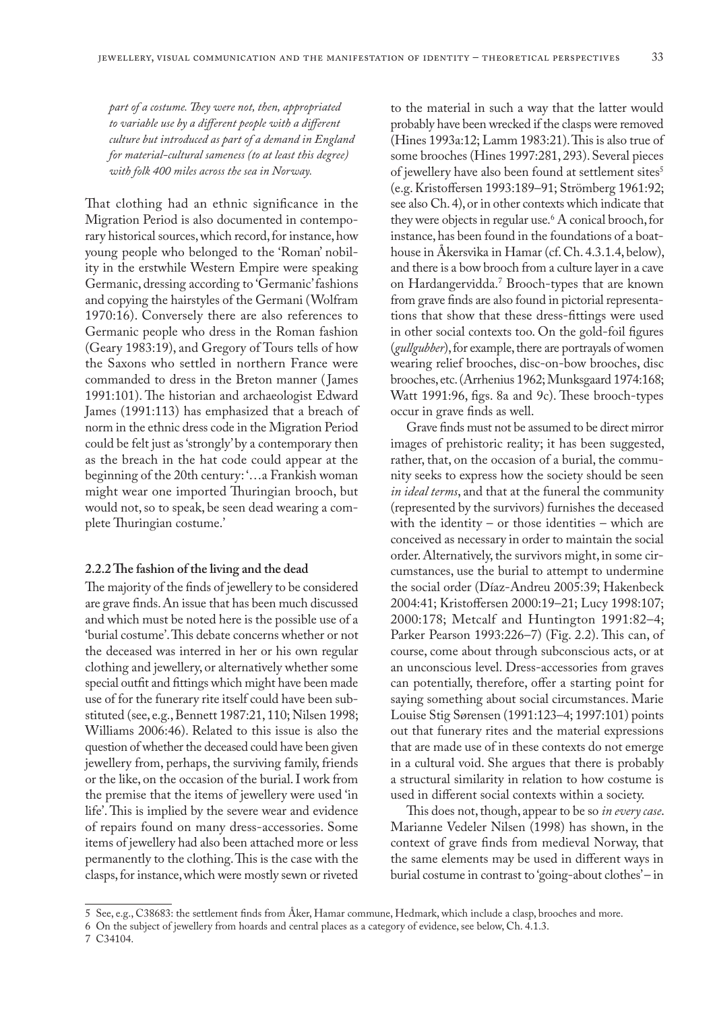*part of a costume. They were not, then, appropriated to variable use by a different people with a different culture but introduced as part of a demand in England for material-cultural sameness (to at least this degree) with folk 400 miles across the sea in Norway.*

That clothing had an ethnic significance in the Migration Period is also documented in contemporary historical sources, which record, for instance, how young people who belonged to the 'Roman' nobility in the erstwhile Western Empire were speaking Germanic, dressing according to 'Germanic' fashions and copying the hairstyles of the Germani (Wolfram 1970:16). Conversely there are also references to Germanic people who dress in the Roman fashion (Geary 1983:19), and Gregory of Tours tells of how the Saxons who settled in northern France were commanded to dress in the Breton manner ( James 1991:101). The historian and archaeologist Edward James (1991:113) has emphasized that a breach of norm in the ethnic dress code in the Migration Period could be felt just as 'strongly' by a contemporary then as the breach in the hat code could appear at the beginning of the 20th century: '…a Frankish woman might wear one imported Thuringian brooch, but would not, so to speak, be seen dead wearing a complete Thuringian costume.'

#### **2.2.2 The fashion of the living and the dead**

The majority of the finds of jewellery to be considered are grave finds. An issue that has been much discussed and which must be noted here is the possible use of a 'burial costume'. This debate concerns whether or not the deceased was interred in her or his own regular clothing and jewellery, or alternatively whether some special outfit and fittings which might have been made use of for the funerary rite itself could have been substituted (see, e.g., Bennett 1987:21, 110; Nilsen 1998; Williams 2006:46). Related to this issue is also the question of whether the deceased could have been given jewellery from, perhaps, the surviving family, friends or the like, on the occasion of the burial. I work from the premise that the items of jewellery were used 'in life'. This is implied by the severe wear and evidence of repairs found on many dress-accessories. Some items of jewellery had also been attached more or less permanently to the clothing. This is the case with the clasps, for instance, which were mostly sewn or riveted

to the material in such a way that the latter would probably have been wrecked if the clasps were removed (Hines 1993a:12; Lamm 1983:21). This is also true of some brooches (Hines 1997:281, 293). Several pieces of jewellery have also been found at settlement sites<sup>5</sup> (e.g. Kristoffersen 1993:189–91; Strömberg 1961:92; see also Ch. 4), or in other contexts which indicate that they were objects in regular use.6 A conical brooch, for instance, has been found in the foundations of a boathouse in Åkersvika in Hamar (cf. Ch. 4.3.1.4, below), and there is a bow brooch from a culture layer in a cave on Hardangervidda.7 Brooch-types that are known from grave finds are also found in pictorial representations that show that these dress-fittings were used in other social contexts too. On the gold-foil figures (*gullgubber*), for example, there are portrayals of women wearing relief brooches, disc-on-bow brooches, disc brooches, etc. (Arrhenius 1962; Munksgaard 1974:168; Watt 1991:96, figs. 8a and 9c). These brooch-types occur in grave finds as well.

Grave finds must not be assumed to be direct mirror images of prehistoric reality; it has been suggested, rather, that, on the occasion of a burial, the community seeks to express how the society should be seen *in ideal terms*, and that at the funeral the community (represented by the survivors) furnishes the deceased with the identity – or those identities – which are conceived as necessary in order to maintain the social order. Alternatively, the survivors might, in some circumstances, use the burial to attempt to undermine the social order (Díaz-Andreu 2005:39; Hakenbeck 2004:41; Kristoffersen 2000:19–21; Lucy 1998:107; 2000:178; Metcalf and Huntington 1991:82–4; Parker Pearson 1993:226–7) (Fig. 2.2). This can, of course, come about through subconscious acts, or at an unconscious level. Dress-accessories from graves can potentially, therefore, offer a starting point for saying something about social circumstances. Marie Louise Stig Sørensen (1991:123–4; 1997:101) points out that funerary rites and the material expressions that are made use of in these contexts do not emerge in a cultural void. She argues that there is probably a structural similarity in relation to how costume is used in different social contexts within a society.

This does not, though, appear to be so *in every case*. Marianne Vedeler Nilsen (1998) has shown, in the context of grave finds from medieval Norway, that the same elements may be used in different ways in burial costume in contrast to 'going-about clothes' – in

<sup>5</sup> See, e.g., C38683: the settlement finds from Åker, Hamar commune, Hedmark, which include a clasp, brooches and more.

<sup>6</sup> On the subject of jewellery from hoards and central places as a category of evidence, see below, Ch. 4.1.3.

<sup>7</sup> C34104.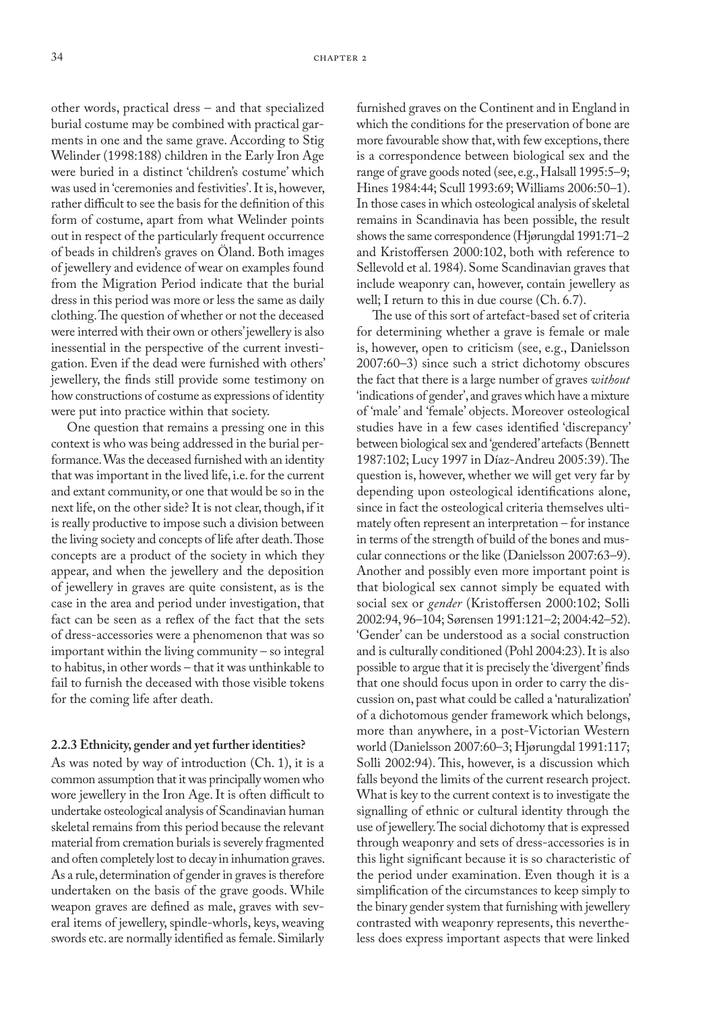other words, practical dress – and that specialized burial costume may be combined with practical garments in one and the same grave. According to Stig Welinder (1998:188) children in the Early Iron Age were buried in a distinct 'children's costume' which was used in 'ceremonies and festivities'. It is, however, rather difficult to see the basis for the definition of this form of costume, apart from what Welinder points out in respect of the particularly frequent occurrence of beads in children's graves on Öland. Both images of jewellery and evidence of wear on examples found from the Migration Period indicate that the burial dress in this period was more or less the same as daily clothing. The question of whether or not the deceased were interred with their own or others' jewellery is also inessential in the perspective of the current investigation. Even if the dead were furnished with others' jewellery, the finds still provide some testimony on how constructions of costume as expressions of identity were put into practice within that society.

One question that remains a pressing one in this context is who was being addressed in the burial performance. Was the deceased furnished with an identity that was important in the lived life, i.e. for the current and extant community, or one that would be so in the next life, on the other side? It is not clear, though, if it is really productive to impose such a division between the living society and concepts of life after death. Those concepts are a product of the society in which they appear, and when the jewellery and the deposition of jewellery in graves are quite consistent, as is the case in the area and period under investigation, that fact can be seen as a reflex of the fact that the sets of dress-accessories were a phenomenon that was so important within the living community – so integral to habitus, in other words – that it was unthinkable to fail to furnish the deceased with those visible tokens for the coming life after death.

#### **2.2.3 Ethnicity, gender and yet further identities?**

As was noted by way of introduction (Ch. 1), it is a common assumption that it was principally women who wore jewellery in the Iron Age. It is often difficult to undertake osteological analysis of Scandinavian human skeletal remains from this period because the relevant material from cremation burials is severely fragmented and often completely lost to decay in inhumation graves. As a rule, determination of gender in graves is therefore undertaken on the basis of the grave goods. While weapon graves are defined as male, graves with several items of jewellery, spindle-whorls, keys, weaving swords etc. are normally identified as female. Similarly

furnished graves on the Continent and in England in which the conditions for the preservation of bone are more favourable show that, with few exceptions, there is a correspondence between biological sex and the range of grave goods noted (see, e.g., Halsall 1995:5–9; Hines 1984:44; Scull 1993:69; Williams 2006:50–1). In those cases in which osteological analysis of skeletal remains in Scandinavia has been possible, the result shows the same correspondence (Hjørungdal 1991:71–2 and Kristoffersen 2000:102, both with reference to Sellevold et al. 1984). Some Scandinavian graves that include weaponry can, however, contain jewellery as well; I return to this in due course (Ch. 6.7).

The use of this sort of artefact-based set of criteria for determining whether a grave is female or male is, however, open to criticism (see, e.g., Danielsson 2007:60–3) since such a strict dichotomy obscures the fact that there is a large number of graves *without* 'indications of gender', and graves which have a mixture of 'male' and 'female' objects. Moreover osteological studies have in a few cases identified 'discrepancy' between biological sex and 'gendered' artefacts (Bennett 1987:102; Lucy 1997 in Díaz-Andreu 2005:39). The question is, however, whether we will get very far by depending upon osteological identifications alone, since in fact the osteological criteria themselves ultimately often represent an interpretation – for instance in terms of the strength of build of the bones and muscular connections or the like (Danielsson 2007:63–9). Another and possibly even more important point is that biological sex cannot simply be equated with social sex or *gender* (Kristoffersen 2000:102; Solli 2002:94, 96–104; Sørensen 1991:121–2; 2004:42–52). 'Gender' can be understood as a social construction and is culturally conditioned (Pohl 2004:23). It is also possible to argue that it is precisely the 'divergent' finds that one should focus upon in order to carry the discussion on, past what could be called a 'naturalization' of a dichotomous gender framework which belongs, more than anywhere, in a post-Victorian Western world (Danielsson 2007:60–3; Hjørungdal 1991:117; Solli 2002:94). This, however, is a discussion which falls beyond the limits of the current research project. What is key to the current context is to investigate the signalling of ethnic or cultural identity through the use of jewellery. The social dichotomy that is expressed through weaponry and sets of dress-accessories is in this light significant because it is so characteristic of the period under examination. Even though it is a simplification of the circumstances to keep simply to the binary gender system that furnishing with jewellery contrasted with weaponry represents, this nevertheless does express important aspects that were linked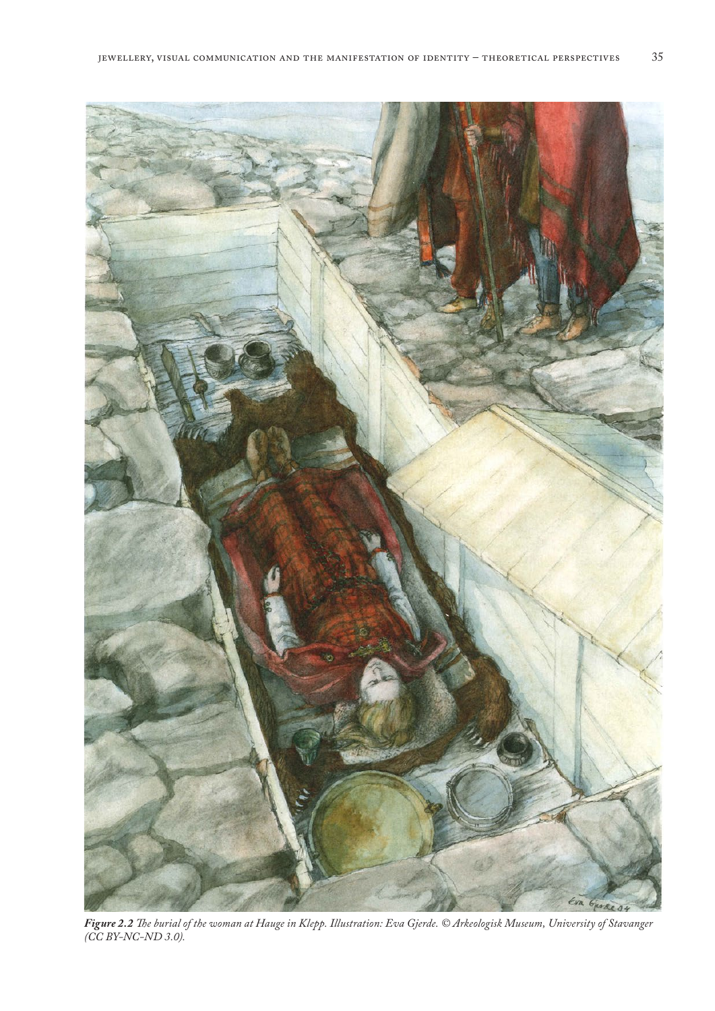

*Figure 2.2 The burial of the woman at Hauge in Klepp. Illustration: Eva Gjerde. © Arkeologisk Museum, University of Stavanger (CC BY-NC-ND 3.0).*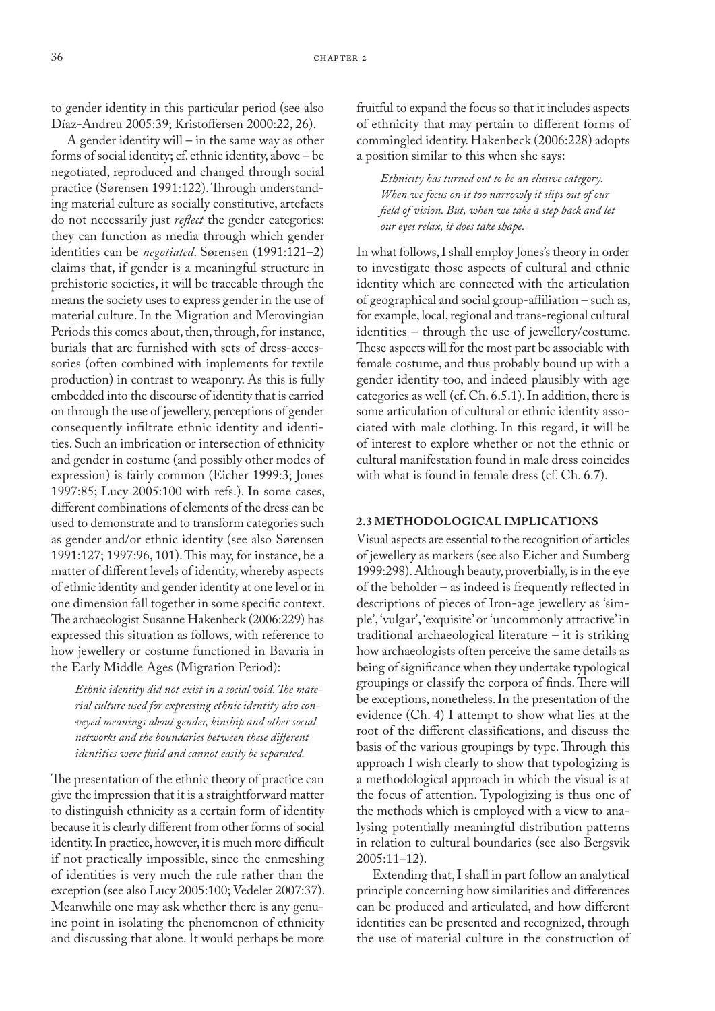to gender identity in this particular period (see also Díaz-Andreu 2005:39; Kristoffersen 2000:22, 26).

A gender identity will – in the same way as other forms of social identity; cf. ethnic identity, above – be negotiated, reproduced and changed through social practice (Sørensen 1991:122). Through understanding material culture as socially constitutive, artefacts do not necessarily just *reflect* the gender categories: they can function as media through which gender identities can be *negotiated*. Sørensen (1991:121–2) claims that, if gender is a meaningful structure in prehistoric societies, it will be traceable through the means the society uses to express gender in the use of material culture. In the Migration and Merovingian Periods this comes about, then, through, for instance, burials that are furnished with sets of dress-accessories (often combined with implements for textile production) in contrast to weaponry. As this is fully embedded into the discourse of identity that is carried on through the use of jewellery, perceptions of gender consequently infiltrate ethnic identity and identities. Such an imbrication or intersection of ethnicity and gender in costume (and possibly other modes of expression) is fairly common (Eicher 1999:3; Jones 1997:85; Lucy 2005:100 with refs.). In some cases, different combinations of elements of the dress can be used to demonstrate and to transform categories such as gender and/or ethnic identity (see also Sørensen 1991:127; 1997:96, 101). This may, for instance, be a matter of different levels of identity, whereby aspects of ethnic identity and gender identity at one level or in one dimension fall together in some specific context. The archaeologist Susanne Hakenbeck (2006:229) has expressed this situation as follows, with reference to how jewellery or costume functioned in Bavaria in the Early Middle Ages (Migration Period):

*Ethnic identity did not exist in a social void. The material culture used for expressing ethnic identity also conveyed meanings about gender, kinship and other social networks and the boundaries between these different identities were fluid and cannot easily be separated.*

The presentation of the ethnic theory of practice can give the impression that it is a straightforward matter to distinguish ethnicity as a certain form of identity because it is clearly different from other forms of social identity. In practice, however, it is much more difficult if not practically impossible, since the enmeshing of identities is very much the rule rather than the exception (see also Lucy 2005:100; Vedeler 2007:37). Meanwhile one may ask whether there is any genuine point in isolating the phenomenon of ethnicity and discussing that alone. It would perhaps be more

fruitful to expand the focus so that it includes aspects of ethnicity that may pertain to different forms of commingled identity. Hakenbeck (2006:228) adopts a position similar to this when she says:

*Ethnicity has turned out to be an elusive category. When we focus on it too narrowly it slips out of our field of vision. But, when we take a step back and let our eyes relax, it does take shape.*

In what follows, I shall employ Jones's theory in order to investigate those aspects of cultural and ethnic identity which are connected with the articulation of geographical and social group-affiliation – such as, for example, local, regional and trans-regional cultural identities – through the use of jewellery/costume. These aspects will for the most part be associable with female costume, and thus probably bound up with a gender identity too, and indeed plausibly with age categories as well (cf. Ch. 6.5.1). In addition, there is some articulation of cultural or ethnic identity associated with male clothing. In this regard, it will be of interest to explore whether or not the ethnic or cultural manifestation found in male dress coincides with what is found in female dress (cf. Ch. 6.7).

## **2.3 METHODOLOGICAL IMPLICATIONS**

Visual aspects are essential to the recognition of articles of jewellery as markers (see also Eicher and Sumberg 1999:298). Although beauty, proverbially, is in the eye of the beholder – as indeed is frequently reflected in descriptions of pieces of Iron-age jewellery as 'simple', 'vulgar', 'exquisite' or 'uncommonly attractive' in traditional archaeological literature – it is striking how archaeologists often perceive the same details as being of significance when they undertake typological groupings or classify the corpora of finds. There will be exceptions, nonetheless. In the presentation of the evidence (Ch. 4) I attempt to show what lies at the root of the different classifications, and discuss the basis of the various groupings by type. Through this approach I wish clearly to show that typologizing is a methodological approach in which the visual is at the focus of attention. Typologizing is thus one of the methods which is employed with a view to analysing potentially meaningful distribution patterns in relation to cultural boundaries (see also Bergsvik 2005:11–12).

Extending that, I shall in part follow an analytical principle concerning how similarities and differences can be produced and articulated, and how different identities can be presented and recognized, through the use of material culture in the construction of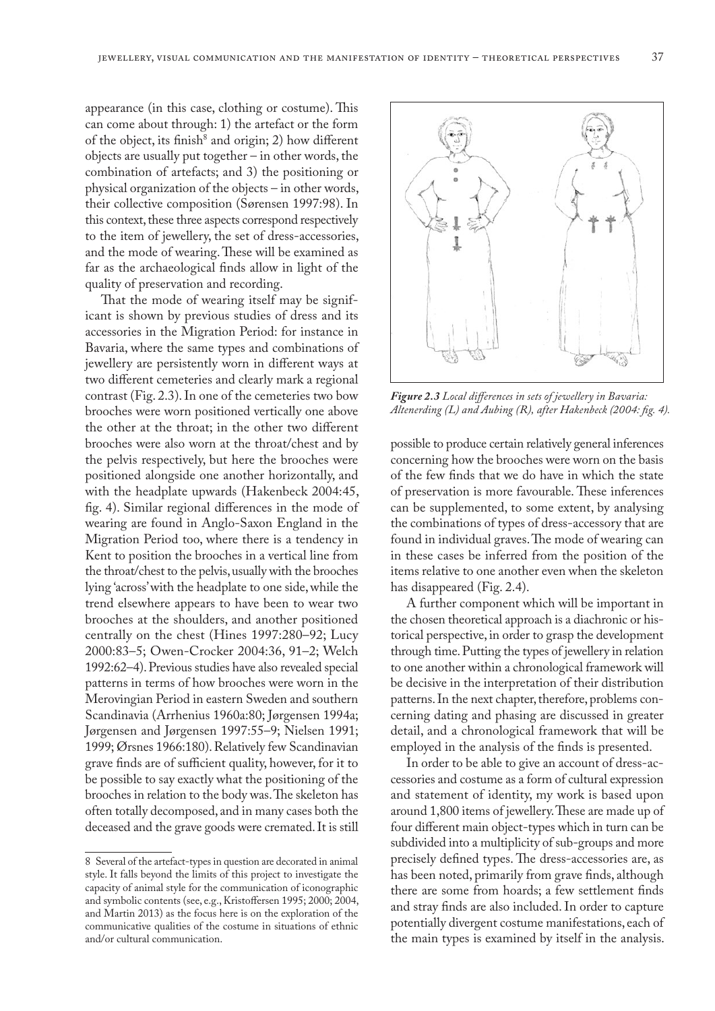appearance (in this case, clothing or costume). This can come about through: 1) the artefact or the form of the object, its finish<sup>8</sup> and origin; 2) how different objects are usually put together – in other words, the combination of artefacts; and 3) the positioning or physical organization of the objects – in other words, their collective composition (Sørensen 1997:98). In this context, these three aspects correspond respectively to the item of jewellery, the set of dress-accessories, and the mode of wearing. These will be examined as far as the archaeological finds allow in light of the quality of preservation and recording.

That the mode of wearing itself may be significant is shown by previous studies of dress and its accessories in the Migration Period: for instance in Bavaria, where the same types and combinations of jewellery are persistently worn in different ways at two different cemeteries and clearly mark a regional contrast (Fig. 2.3). In one of the cemeteries two bow brooches were worn positioned vertically one above the other at the throat; in the other two different brooches were also worn at the throat/chest and by the pelvis respectively, but here the brooches were positioned alongside one another horizontally, and with the headplate upwards (Hakenbeck 2004:45, fig. 4). Similar regional differences in the mode of wearing are found in Anglo-Saxon England in the Migration Period too, where there is a tendency in Kent to position the brooches in a vertical line from the throat/chest to the pelvis, usually with the brooches lying 'across' with the headplate to one side, while the trend elsewhere appears to have been to wear two brooches at the shoulders, and another positioned centrally on the chest (Hines 1997:280–92; Lucy 2000:83–5; Owen-Crocker 2004:36, 91–2; Welch 1992:62–4). Previous studies have also revealed special patterns in terms of how brooches were worn in the Merovingian Period in eastern Sweden and southern Scandinavia (Arrhenius 1960a:80; Jørgensen 1994a; Jørgensen and Jørgensen 1997:55–9; Nielsen 1991; 1999; Ørsnes 1966:180). Relatively few Scandinavian grave finds are of sufficient quality, however, for it to be possible to say exactly what the positioning of the brooches in relation to the body was. The skeleton has often totally decomposed, and in many cases both the deceased and the grave goods were cremated. It is still



*Figure 2.3 Local differences in sets of jewellery in Bavaria: Altenerding (L) and Aubing (R), after Hakenbeck (2004: fig. 4).*

possible to produce certain relatively general inferences concerning how the brooches were worn on the basis of the few finds that we do have in which the state of preservation is more favourable. These inferences can be supplemented, to some extent, by analysing the combinations of types of dress-accessory that are found in individual graves. The mode of wearing can in these cases be inferred from the position of the items relative to one another even when the skeleton has disappeared (Fig. 2.4).

A further component which will be important in the chosen theoretical approach is a diachronic or historical perspective, in order to grasp the development through time. Putting the types of jewellery in relation to one another within a chronological framework will be decisive in the interpretation of their distribution patterns. In the next chapter, therefore, problems concerning dating and phasing are discussed in greater detail, and a chronological framework that will be employed in the analysis of the finds is presented.

In order to be able to give an account of dress-accessories and costume as a form of cultural expression and statement of identity, my work is based upon around 1,800 items of jewellery. These are made up of four different main object-types which in turn can be subdivided into a multiplicity of sub-groups and more precisely defined types. The dress-accessories are, as has been noted, primarily from grave finds, although there are some from hoards; a few settlement finds and stray finds are also included. In order to capture potentially divergent costume manifestations, each of the main types is examined by itself in the analysis.

<sup>8</sup> Several of the artefact-types in question are decorated in animal style. It falls beyond the limits of this project to investigate the capacity of animal style for the communication of iconographic and symbolic contents (see, e.g., Kristoffersen 1995; 2000; 2004, and Martin 2013) as the focus here is on the exploration of the communicative qualities of the costume in situations of ethnic and/or cultural communication.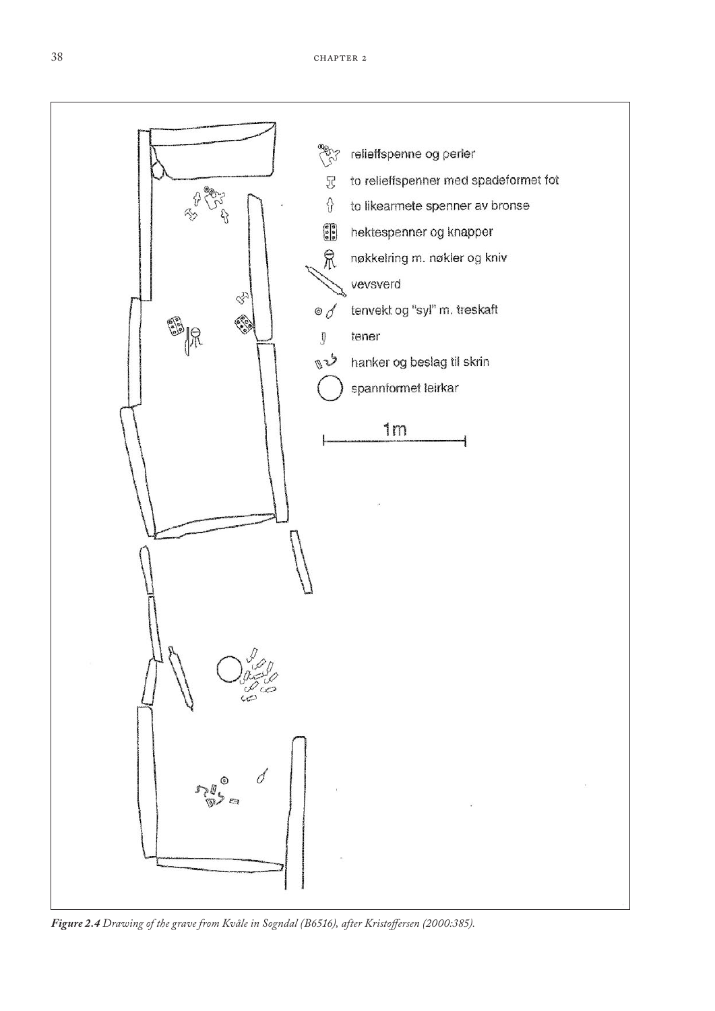

*Figure 2.4 Drawing of the grave from Kvåle in Sogndal (B6516), after Kristoffersen (2000:385).*